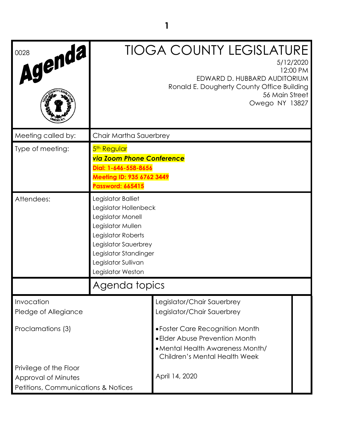| Agenda,<br>0028                     |                                                                                                                                                                                                          | <b>TIOGA COUNTY LEGISLATURE</b><br>5/12/2020<br>12:00 PM<br>EDWARD D. HUBBARD AUDITORIUM<br>Ronald E. Dougherty County Office Building<br>56 Main Street<br>Owego NY 13827 |  |
|-------------------------------------|----------------------------------------------------------------------------------------------------------------------------------------------------------------------------------------------------------|----------------------------------------------------------------------------------------------------------------------------------------------------------------------------|--|
| Meeting called by:                  | Chair Martha Sauerbrey                                                                                                                                                                                   |                                                                                                                                                                            |  |
| Type of meeting:                    | 5 <sup>th</sup> Regular<br><b>via Zoom Phone Conference</b><br>Dial: 1-646-558-8656<br>Meeting ID: 935 6762 3449<br>Password: 665415                                                                     |                                                                                                                                                                            |  |
| Attendees:                          | Legislator Balliet<br>Legislator Hollenbeck<br>Legislator Monell<br>Legislator Mullen<br>Legislator Roberts<br>Legislator Sauerbrey<br>Legislator Standinger<br>Legislator Sullivan<br>Legislator Weston |                                                                                                                                                                            |  |
|                                     | Agenda topics                                                                                                                                                                                            |                                                                                                                                                                            |  |
| Invocation<br>Pledge of Allegiance  |                                                                                                                                                                                                          | Legislator/Chair Sauerbrey<br>Legislator/Chair Sauerbrey                                                                                                                   |  |
| Proclamations (3)                   |                                                                                                                                                                                                          | • Foster Care Recognition Month<br>• Elder Abuse Prevention Month<br>• Mental Health Awareness Month/<br><b>Children's Mental Health Week</b>                              |  |
| Privilege of the Floor              |                                                                                                                                                                                                          |                                                                                                                                                                            |  |
| Approval of Minutes                 |                                                                                                                                                                                                          | April 14, 2020                                                                                                                                                             |  |
| Petitions, Communications & Notices |                                                                                                                                                                                                          |                                                                                                                                                                            |  |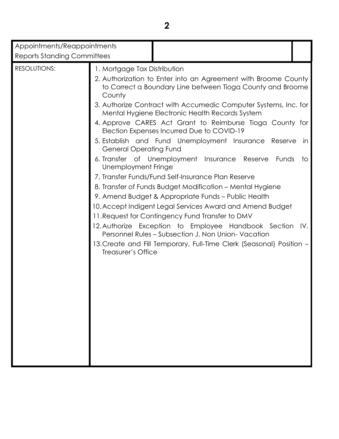| Appointments/Reappointments<br><b>Reports Standing Committees</b> |                                                                                                                      |                                                                                                                                                                                                                                                                                                                                                                                                                                                                                                                                                                                                                                                                                                                                                                                                                                                                                                                                                                      |          |
|-------------------------------------------------------------------|----------------------------------------------------------------------------------------------------------------------|----------------------------------------------------------------------------------------------------------------------------------------------------------------------------------------------------------------------------------------------------------------------------------------------------------------------------------------------------------------------------------------------------------------------------------------------------------------------------------------------------------------------------------------------------------------------------------------------------------------------------------------------------------------------------------------------------------------------------------------------------------------------------------------------------------------------------------------------------------------------------------------------------------------------------------------------------------------------|----------|
| <b>RESOLUTIONS:</b>                                               | 1. Mortgage Tax Distribution<br>County<br><b>General Operating Fund</b><br>Unemployment Fringe<br>Treasurer's Office | 2. Authorization to Enter into an Agreement with Broome County<br>to Correct a Boundary Line between Tioga County and Broome<br>3. Authorize Contract with Accumedic Computer Systems, Inc. for<br>Mental Hygiene Electronic Health Records System<br>4. Approve CARES Act Grant to Reimburse Tioga County for<br>Election Expenses Incurred Due to COVID-19<br>5. Establish and Fund Unemployment Insurance Reserve<br>6. Transfer of Unemployment Insurance Reserve<br>Funds<br>7. Transfer Funds/Fund Self-Insurance Plan Reserve<br>8. Transfer of Funds Budget Modification - Mental Hygiene<br>9. Amend Budget & Appropriate Funds – Public Health<br>10. Accept Indigent Legal Services Award and Amend Budget<br>11. Request for Contingency Fund Transfer to DMV<br>12. Authorize Exception to Employee Handbook Section IV.<br>Personnel Rules - Subsection J. Non Union- Vacation<br>13. Create and Fill Temporary, Full-Time Clerk (Seasonal) Position - | in<br>to |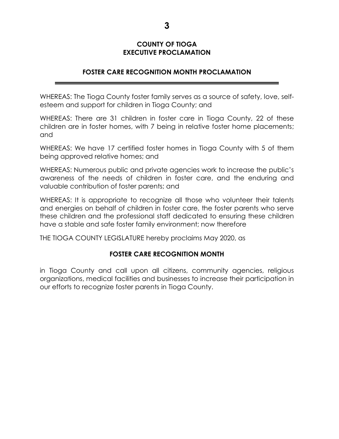### **COUNTY OF TIOGA EXECUTIVE PROCLAMATION**

# **FOSTER CARE RECOGNITION MONTH PROCLAMATION**

WHEREAS: The Tioga County foster family serves as a source of safety, love, selfesteem and support for children in Tioga County; and

WHEREAS: There are 31 children in foster care in Tioga County, 22 of these children are in foster homes, with 7 being in relative foster home placements; and

WHEREAS: We have 17 certified foster homes in Tioga County with 5 of them being approved relative homes; and

WHEREAS: Numerous public and private agencies work to increase the public's awareness of the needs of children in foster care, and the enduring and valuable contribution of foster parents; and

WHEREAS: It is appropriate to recognize all those who volunteer their talents and energies on behalf of children in foster care, the foster parents who serve these children and the professional staff dedicated to ensuring these children have a stable and safe foster family environment; now therefore

THE TIOGA COUNTY LEGISLATURE hereby proclaims May 2020, as

### **FOSTER CARE RECOGNITION MONTH**

in Tioga County and call upon all citizens, community agencies, religious organizations, medical facilities and businesses to increase their participation in our efforts to recognize foster parents in Tioga County.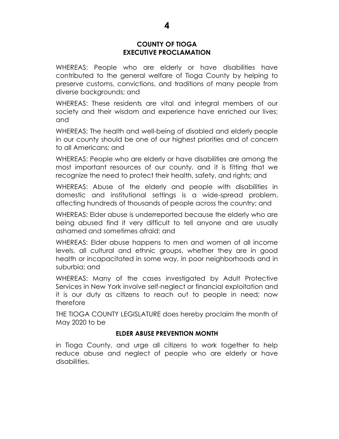### **COUNTY OF TIOGA EXECUTIVE PROCLAMATION**

WHEREAS: People who are elderly or have disabilities have contributed to the general welfare of Tioga County by helping to preserve customs, convictions, and traditions of many people from diverse backgrounds; and

WHEREAS: These residents are vital and integral members of our society and their wisdom and experience have enriched our lives; and

WHEREAS: The health and well-being of disabled and elderly people in our county should be one of our highest priorities and of concern to all Americans; and

WHEREAS: People who are elderly or have disabilities are among the most important resources of our county, and it is fitting that we recognize the need to protect their health, safety, and rights; and

WHEREAS: Abuse of the elderly and people with disabilities in domestic and institutional settings is a wide-spread problem, affecting hundreds of thousands of people across the country; and

WHEREAS: Elder abuse is underreported because the elderly who are being abused find it very difficult to tell anyone and are usually ashamed and sometimes afraid; and

WHEREAS: Elder abuse happens to men and women of all income levels, all cultural and ethnic groups, whether they are in good health or incapacitated in some way, in poor neighborhoods and in suburbia; and

WHEREAS: Many of the cases investigated by Adult Protective Services in New York involve self-neglect or financial exploitation and it is our duty as citizens to reach out to people in need; now therefore

THE TIOGA COUNTY LEGISLATURE does hereby proclaim the month of May 2020 to be

### **ELDER ABUSE PREVENTION MONTH**

in Tioga County, and urge all citizens to work together to help reduce abuse and neglect of people who are elderly or have disabilities.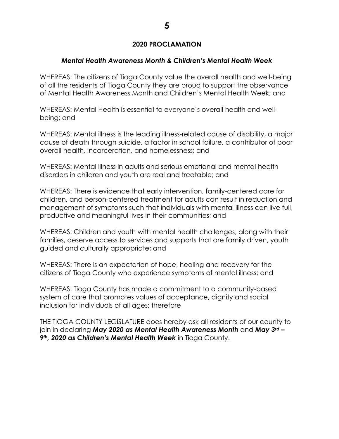# **2020 PROCLAMATION**

# *Mental Health Awareness Month & Children's Mental Health Week*

WHEREAS: The citizens of Tioga County value the overall health and well-being of all the residents of Tioga County they are proud to support the observance of Mental Health Awareness Month and Children's Mental Health Week; and

WHEREAS: Mental Health is essential to everyone's overall health and wellbeing; and

WHEREAS: Mental illness is the leading illness-related cause of disability, a major cause of death through suicide, a factor in school failure, a contributor of poor overall health, incarceration, and homelessness; and

WHEREAS: Mental illness in adults and serious emotional and mental health disorders in children and youth are real and treatable; and

WHEREAS: There is evidence that early intervention, family-centered care for children, and person-centered treatment for adults can result in reduction and management of symptoms such that individuals with mental illness can live full, productive and meaningful lives in their communities; and

WHEREAS: Children and youth with mental health challenges, along with their families, deserve access to services and supports that are family driven, youth guided and culturally appropriate; and

WHEREAS: There is an expectation of hope, healing and recovery for the citizens of Tioga County who experience symptoms of mental illness; and

WHEREAS: Tioga County has made a commitment to a community-based system of care that promotes values of acceptance, dignity and social inclusion for individuals of all ages; therefore

THE TIOGA COUNTY LEGISLATURE does hereby ask all residents of our county to join in declaring *May 2020 as Mental Health Awareness Month* and *May 3rd – 9th, 2020 as Children's Mental Health Week* in Tioga County.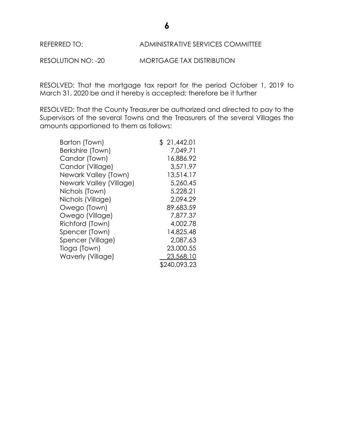

RESOLUTION NO: -20 MORTGAGE TAX DISTRIBUTION

RESOLVED: That the mortgage tax report for the period October 1, 2019 to March 31, 2020 be and it hereby is accepted; therefore be it further

RESOLVED: That the County Treasurer be authorized and directed to pay to the Supervisors of the several Towns and the Treasurers of the several Villages the amounts apportioned to them as follows:

| Barton (Town)           | \$21,442.01  |
|-------------------------|--------------|
| Berkshire (Town)        | 7.049.71     |
| Candor (Town)           | 16,886.92    |
| Candor (Village)        | 3,571.97     |
| Newark Valley (Town)    | 13,514.17    |
| Newark Valley (Village) | 5,260.45     |
| Nichols (Town)          | 5,228.21     |
| Nichols (Village)       | 2,094.29     |
| Owego (Town)            | 89,683.59    |
| Owego (Village)         | 7,877.37     |
| Richford (Town)         | 4,002.78     |
| Spencer (Town)          | 14,825.48    |
| Spencer (Village)       | 2,087.63     |
| Tioga (Town)            | 23,000.55    |
| Waverly (Village)       | 23,568.10    |
|                         | \$240,093.23 |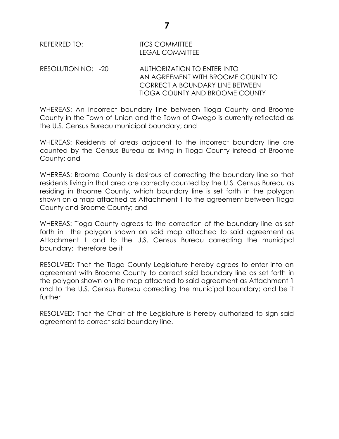# REFERRED TO: **ITCS COMMITTEE** LEGAL COMMITTEE

RESOLUTION NO: -20 AUTHORIZATION TO ENTER INTO AN AGREEMENT WITH BROOME COUNTY TO CORRECT A BOUNDARY LINE BETWEEN TIOGA COUNTY AND BROOME COUNTY

WHEREAS: An incorrect boundary line between Tioga County and Broome County in the Town of Union and the Town of Owego is currently reflected as the U.S. Census Bureau municipal boundary; and

WHEREAS: Residents of areas adjacent to the incorrect boundary line are counted by the Census Bureau as living in Tioga County instead of Broome County; and

WHEREAS: Broome County is desirous of correcting the boundary line so that residents living in that area are correctly counted by the U.S. Census Bureau as residing in Broome County, which boundary line is set forth in the polygon shown on a map attached as Attachment 1 to the agreement between Tioga County and Broome County; and

WHEREAS: Tioga County agrees to the correction of the boundary line as set forth in the polygon shown on said map attached to said agreement as Attachment 1 and to the U.S. Census Bureau correcting the municipal boundary; therefore be it

RESOLVED: That the Tioga County Legislature hereby agrees to enter into an agreement with Broome County to correct said boundary line as set forth in the polygon shown on the map attached to said agreement as Attachment 1 and to the U.S. Census Bureau correcting the municipal boundary; and be it further

RESOLVED: That the Chair of the Legislature is hereby authorized to sign said agreement to correct said boundary line.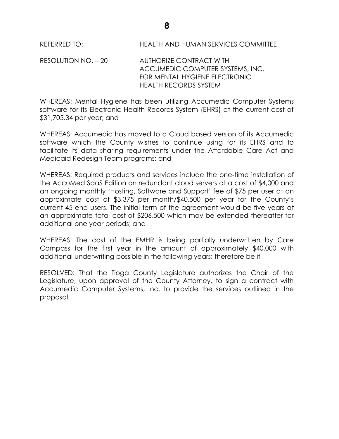REFERRED TO: HEALTH AND HUMAN SERVICES COMMITTEE

RESOLUTION NO. – 20 AUTHORIZE CONTRACT WITH ACCUMEDIC COMPUTER SYSTEMS, INC. FOR MENTAL HYGIENE ELECTRONIC HEALTH RECORDS SYSTEM

WHEREAS: Mental Hygiene has been utilizing Accumedic Computer Systems software for its Electronic Health Records System (EHRS) at the current cost of \$31,705.34 per year; and

WHEREAS: Accumedic has moved to a Cloud based version of its Accumedic software which the County wishes to continue using for its EHRS and to facilitate its data sharing requirements under the Affordable Care Act and Medicaid Redesign Team programs; and

WHEREAS: Required products and services include the one-time installation of the AccuMed SaaS Edition on redundant cloud servers at a cost of \$4,000 and an ongoing monthly 'Hosting, Software and Support' fee of \$75 per user at an approximate cost of \$3,375 per month/\$40,500 per year for the County's current 45 end users. The initial term of the agreement would be five years at an approximate total cost of \$206,500 which may be extended thereafter for additional one year periods; and

WHEREAS: The cost of the EMHR is being partially underwritten by Care Compass for the first year in the amount of approximately \$40,000 with additional underwriting possible in the following years; therefore be it

RESOLVED: That the Tioga County Legislature authorizes the Chair of the Legislature, upon approval of the County Attorney, to sign a contract with Accumedic Computer Systems, Inc. to provide the services outlined in the proposal.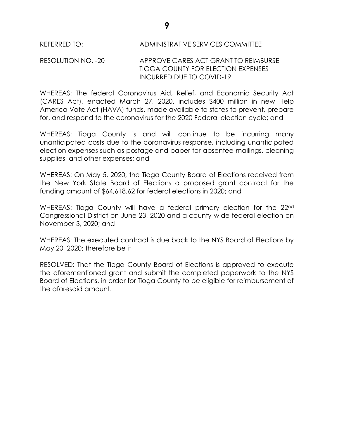### REFERRED TO: ADMINISTRATIVE SERVICES COMMITTEE

### RESOLUTION NO. -20 APPROVE CARES ACT GRANT TO REIMBURSE TIOGA COUNTY FOR ELECTION EXPENSES INCURRED DUE TO COVID-19

WHEREAS: The federal Coronavirus Aid, Relief, and Economic Security Act (CARES Act), enacted March 27, 2020, includes \$400 million in new Help America Vote Act (HAVA) funds, made available to states to prevent, prepare for, and respond to the coronavirus for the 2020 Federal election cycle; and

WHEREAS: Tioga County is and will continue to be incurring many unanticipated costs due to the coronavirus response, including unanticipated election expenses such as postage and paper for absentee mailings, cleaning supplies, and other expenses; and

WHEREAS: On May 5, 2020, the Tioga County Board of Elections received from the New York State Board of Elections a proposed grant contract for the funding amount of \$64,618.62 for federal elections in 2020; and

WHEREAS: Tioga County will have a federal primary election for the 22<sup>nd</sup> Congressional District on June 23, 2020 and a county-wide federal election on November 3, 2020; and

WHEREAS: The executed contract is due back to the NYS Board of Elections by May 20, 2020; therefore be it

RESOLVED: That the Tioga County Board of Elections is approved to execute the aforementioned grant and submit the completed paperwork to the NYS Board of Elections, in order for Tioga County to be eligible for reimbursement of the aforesaid amount.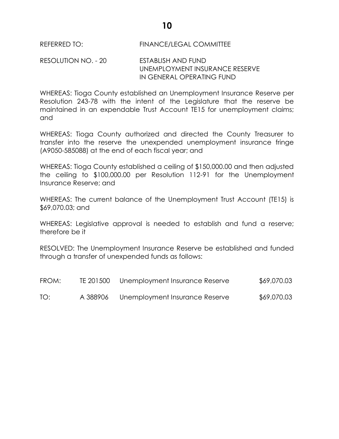REFERRED TO: FINANCE/LEGAL COMMITTEE

RESOLUTION NO. - 20 ESTABLISH AND FUND UNEMPLOYMENT INSURANCE RESERVE IN GENERAL OPERATING FUND

WHEREAS: Tioga County established an Unemployment Insurance Reserve per Resolution 243-78 with the intent of the Legislature that the reserve be maintained in an expendable Trust Account TE15 for unemployment claims; and

WHEREAS: Tioga County authorized and directed the County Treasurer to transfer into the reserve the unexpended unemployment insurance fringe (A9050-585088) at the end of each fiscal year; and

WHEREAS: Tioga County established a ceiling of \$150,000.00 and then adjusted the ceiling to \$100,000.00 per Resolution 112-91 for the Unemployment Insurance Reserve; and

WHEREAS: The current balance of the Unemployment Trust Account (TE15) is \$69,070.03; and

WHEREAS: Legislative approval is needed to establish and fund a reserve; therefore be it

RESOLVED: The Unemployment Insurance Reserve be established and funded through a transfer of unexpended funds as follows:

| FROM: | TE 201500 | Unemployment Insurance Reserve | \$69,070.03 |
|-------|-----------|--------------------------------|-------------|
| TO:   | A 388906  | Unemployment Insurance Reserve | \$69,070.03 |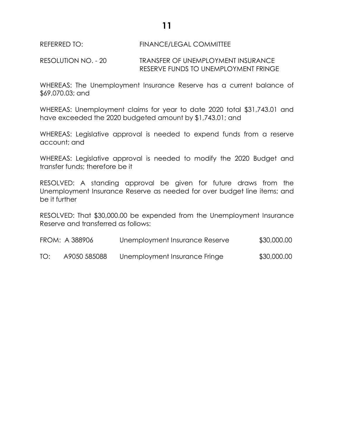**11**

### REFERRED TO: FINANCE/LEGAL COMMITTEE

RESOLUTION NO. - 20 TRANSFER OF UNEMPLOYMENT INSURANCE RESERVE FUNDS TO UNEMPLOYMENT FRINGE

WHEREAS: The Unemployment Insurance Reserve has a current balance of \$69,070.03; and

WHEREAS: Unemployment claims for year to date 2020 total \$31,743.01 and have exceeded the 2020 budgeted amount by \$1,743.01; and

WHEREAS: Legislative approval is needed to expend funds from a reserve account; and

WHEREAS: Legislative approval is needed to modify the 2020 Budget and transfer funds; therefore be it

RESOLVED: A standing approval be given for future draws from the Unemployment Insurance Reserve as needed for over budget line items; and be it further

RESOLVED: That \$30,000.00 be expended from the Unemployment Insurance Reserve and transferred as follows:

|     | FROM: A 388906 | Unemployment Insurance Reserve | \$30,000.00 |
|-----|----------------|--------------------------------|-------------|
| TO: | A9050 585088   | Unemployment Insurance Fringe  | \$30,000.00 |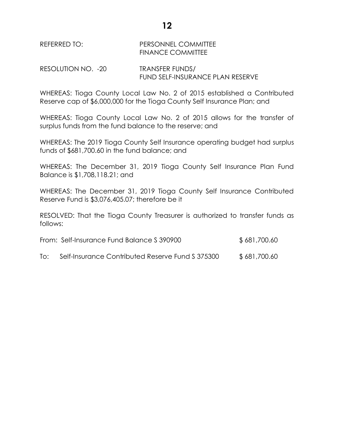# REFERRED TO: PERSONNEL COMMITTEE FINANCE COMMITTEE

RESOLUTION NO. -20 TRANSFER FUNDS/ FUND SELF-INSURANCE PLAN RESERVE

WHEREAS: Tioga County Local Law No. 2 of 2015 established a Contributed Reserve cap of \$6,000,000 for the Tioga County Self Insurance Plan; and

WHEREAS: Tioga County Local Law No. 2 of 2015 allows for the transfer of surplus funds from the fund balance to the reserve; and

WHEREAS: The 2019 Tioga County Self Insurance operating budget had surplus funds of \$681,700.60 in the fund balance; and

WHEREAS: The December 31, 2019 Tioga County Self Insurance Plan Fund Balance is \$1,708,118.21; and

WHEREAS: The December 31, 2019 Tioga County Self Insurance Contributed Reserve Fund is \$3,076,405.07; therefore be it

RESOLVED: That the Tioga County Treasurer is authorized to transfer funds as follows:

| From: Self-Insurance Fund Balance S 390900 | \$681,700.60 |
|--------------------------------------------|--------------|
|                                            |              |

To: Self-Insurance Contributed Reserve Fund \$375300 \$681,700.60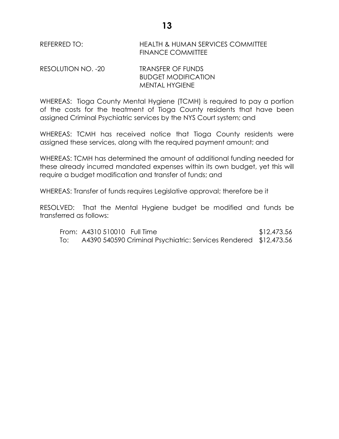REFERRED TO: HEALTH & HUMAN SERVICES COMMITTEE FINANCE COMMITTEE

RESOLUTION NO. -20 TRANSFER OF FUNDS BUDGET MODIFICATION MENTAL HYGIENE

WHEREAS: Tioga County Mental Hygiene (TCMH) is required to pay a portion of the costs for the treatment of Tioga County residents that have been assigned Criminal Psychiatric services by the NYS Court system; and

WHEREAS: TCMH has received notice that Tioga County residents were assigned these services, along with the required payment amount; and

WHEREAS: TCMH has determined the amount of additional funding needed for these already incurred mandated expenses within its own budget, yet this will require a budget modification and transfer of funds; and

WHEREAS: Transfer of funds requires Legislative approval; therefore be it

RESOLVED: That the Mental Hygiene budget be modified and funds be transferred as follows:

From: A4310 510010 Full Time \$12,473.56 To: A4390 540590 Criminal Psychiatric: Services Rendered \$12,473.56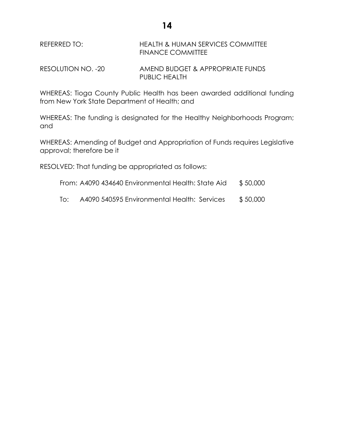REFERRED TO: HEALTH & HUMAN SERVICES COMMITTEE FINANCE COMMITTEE

RESOLUTION NO. -20 AMEND BUDGET & APPROPRIATE FUNDS PUBLIC HEALTH

WHEREAS: Tioga County Public Health has been awarded additional funding from New York State Department of Health; and

WHEREAS: The funding is designated for the Healthy Neighborhoods Program; and

WHEREAS: Amending of Budget and Appropriation of Funds requires Legislative approval; therefore be it

RESOLVED: That funding be appropriated as follows:

- From: A4090 434640 Environmental Health: State Aid \$50,000
- To: A4090 540595 Environmental Health: Services \$ 50,000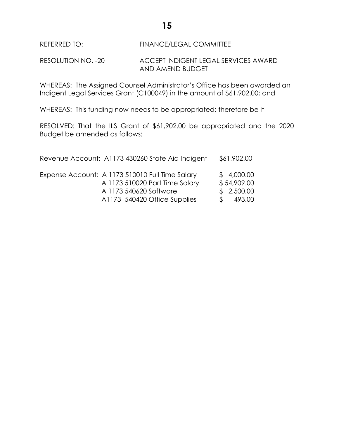**15**

REFERRED TO: FINANCE/LEGAL COMMITTEE

RESOLUTION NO. -20 ACCEPT INDIGENT LEGAL SERVICES AWARD AND AMEND BUDGET

WHEREAS: The Assigned Counsel Administrator's Office has been awarded an Indigent Legal Services Grant (C100049) in the amount of \$61,902.00; and

WHEREAS: This funding now needs to be appropriated; therefore be it

RESOLVED: That the ILS Grant of \$61,902.00 be appropriated and the 2020 Budget be amended as follows:

| Revenue Account: A1173 430260 State Aid Indigent                                                                                            | \$61,902.00                                         |
|---------------------------------------------------------------------------------------------------------------------------------------------|-----------------------------------------------------|
| Expense Account: A 1173 510010 Full Time Salary<br>A 1173 510020 Part Time Salary<br>A 1173 540620 Software<br>A1173 540420 Office Supplies | \$4,000.00<br>\$54,909.00<br>\$2,500.00<br>\$493.00 |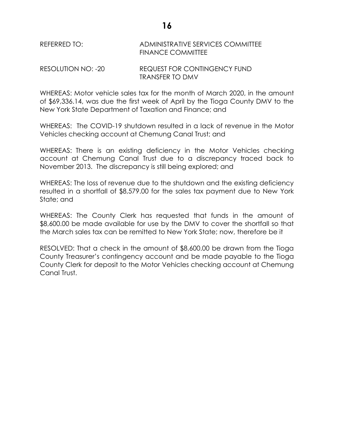### REFERRED TO: ADMINISTRATIVE SERVICES COMMITTEE FINANCE COMMITTEE

#### RESOLUTION NO: -20 REQUEST FOR CONTINGENCY FUND TRANSFER TO DMV

WHEREAS: Motor vehicle sales tax for the month of March 2020, in the amount of \$69,336.14, was due the first week of April by the Tioga County DMV to the New York State Department of Taxation and Finance; and

WHEREAS: The COVID-19 shutdown resulted in a lack of revenue in the Motor Vehicles checking account at Chemung Canal Trust; and

WHEREAS: There is an existing deficiency in the Motor Vehicles checking account at Chemung Canal Trust due to a discrepancy traced back to November 2013. The discrepancy is still being explored; and

WHEREAS: The loss of revenue due to the shutdown and the existing deficiency resulted in a shortfall of \$8,579.00 for the sales tax payment due to New York State; and

WHEREAS: The County Clerk has requested that funds in the amount of \$8,600.00 be made available for use by the DMV to cover the shortfall so that the March sales tax can be remitted to New York State; now, therefore be it

RESOLVED: That a check in the amount of \$8,600.00 be drawn from the Tioga County Treasurer's contingency account and be made payable to the Tioga County Clerk for deposit to the Motor Vehicles checking account at Chemung Canal Trust.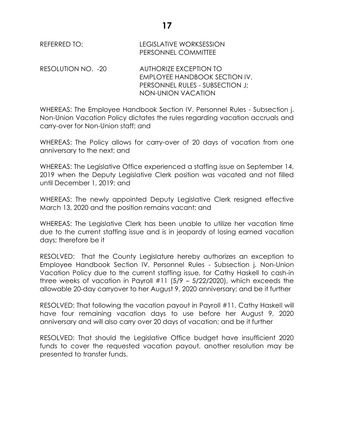REFERRED TO: LEGISLATIVE WORKSESSION PERSONNEL COMMITTEE

RESOLUTION NO. -20 AUTHORIZE EXCEPTION TO EMPLOYEE HANDBOOK SECTION IV. PERSONNEL RULES - SUBSECTION J; NON-UNION VACATION

WHEREAS: The Employee Handbook Section IV. Personnel Rules - Subsection j. Non-Union Vacation Policy dictates the rules regarding vacation accruals and carry-over for Non-Union staff; and

WHEREAS: The Policy allows for carry-over of 20 days of vacation from one anniversary to the next; and

WHEREAS: The Legislative Office experienced a staffing issue on September 14, 2019 when the Deputy Legislative Clerk position was vacated and not filled until December 1, 2019; and

WHEREAS: The newly appointed Deputy Legislative Clerk resigned effective March 13, 2020 and the position remains vacant; and

WHEREAS: The Legislative Clerk has been unable to utilize her vacation time due to the current staffing issue and is in jeopardy of losing earned vacation days; therefore be it

RESOLVED: That the County Legislature hereby authorizes an exception to Employee Handbook Section IV. Personnel Rules - Subsection j. Non-Union Vacation Policy due to the current staffing issue, for Cathy Haskell to cash-in three weeks of vacation in Payroll  $#11$  (5/9 – 5/22/2020), which exceeds the allowable 20-day carryover to her August 9, 2020 anniversary; and be it further

RESOLVED: That following the vacation payout in Payroll #11, Cathy Haskell will have four remaining vacation days to use before her August 9, 2020 anniversary and will also carry over 20 days of vacation; and be it further

RESOLVED: That should the Legislative Office budget have insufficient 2020 funds to cover the requested vacation payout, another resolution may be presented to transfer funds.